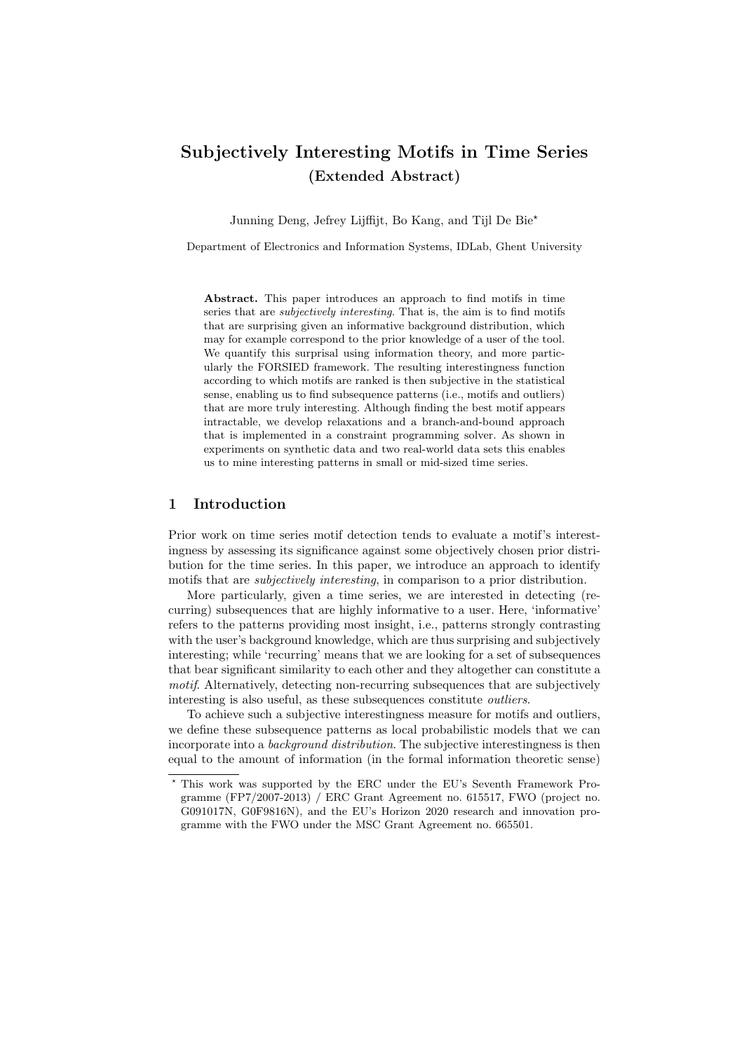# Subjectively Interesting Motifs in Time Series (Extended Abstract)

Junning Deng, Jefrey Lijffijt, Bo Kang, and Tijl De Bie?

Department of Electronics and Information Systems, IDLab, Ghent University

Abstract. This paper introduces an approach to find motifs in time series that are *subjectively interesting*. That is, the aim is to find motifs that are surprising given an informative background distribution, which may for example correspond to the prior knowledge of a user of the tool. We quantify this surprisal using information theory, and more particularly the FORSIED framework. The resulting interestingness function according to which motifs are ranked is then subjective in the statistical sense, enabling us to find subsequence patterns (i.e., motifs and outliers) that are more truly interesting. Although finding the best motif appears intractable, we develop relaxations and a branch-and-bound approach that is implemented in a constraint programming solver. As shown in experiments on synthetic data and two real-world data sets this enables us to mine interesting patterns in small or mid-sized time series.

## 1 Introduction

Prior work on time series motif detection tends to evaluate a motif's interestingness by assessing its significance against some objectively chosen prior distribution for the time series. In this paper, we introduce an approach to identify motifs that are subjectively interesting, in comparison to a prior distribution.

More particularly, given a time series, we are interested in detecting (recurring) subsequences that are highly informative to a user. Here, 'informative' refers to the patterns providing most insight, i.e., patterns strongly contrasting with the user's background knowledge, which are thus surprising and subjectively interesting; while 'recurring' means that we are looking for a set of subsequences that bear significant similarity to each other and they altogether can constitute a motif. Alternatively, detecting non-recurring subsequences that are subjectively interesting is also useful, as these subsequences constitute outliers.

To achieve such a subjective interestingness measure for motifs and outliers, we define these subsequence patterns as local probabilistic models that we can incorporate into a *background distribution*. The subjective interestingness is then equal to the amount of information (in the formal information theoretic sense)

<sup>?</sup> This work was supported by the ERC under the EU's Seventh Framework Programme (FP7/2007-2013) / ERC Grant Agreement no. 615517, FWO (project no. G091017N, G0F9816N), and the EU's Horizon 2020 research and innovation programme with the FWO under the MSC Grant Agreement no. 665501.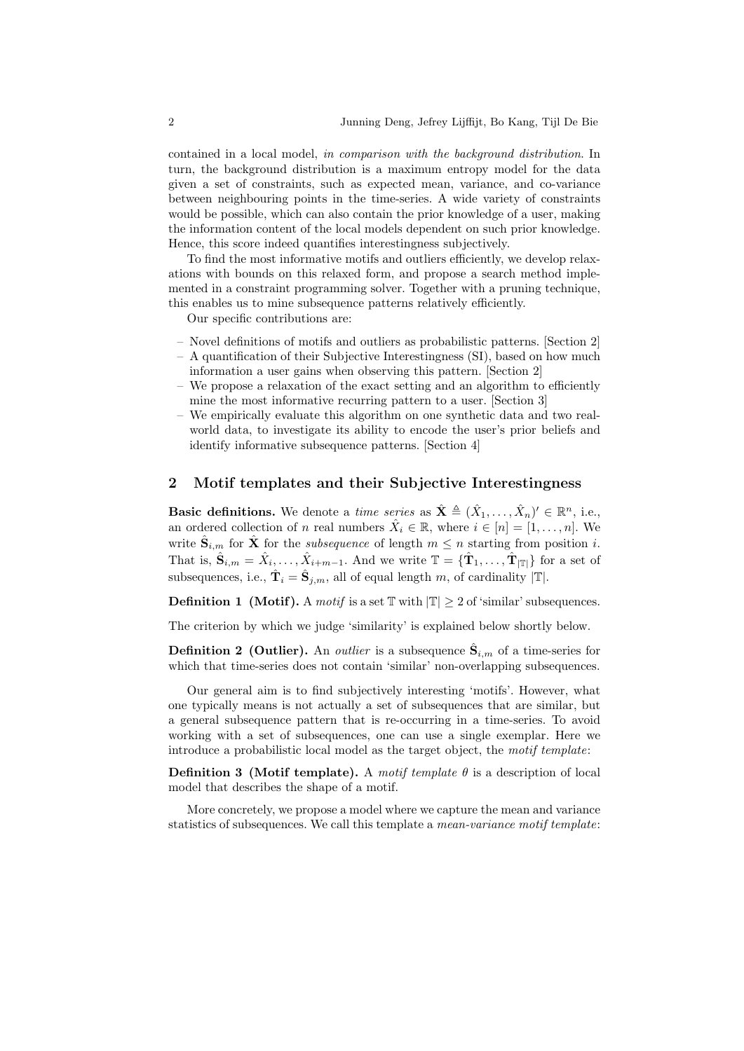contained in a local model, in comparison with the background distribution. In turn, the background distribution is a maximum entropy model for the data given a set of constraints, such as expected mean, variance, and co-variance between neighbouring points in the time-series. A wide variety of constraints would be possible, which can also contain the prior knowledge of a user, making the information content of the local models dependent on such prior knowledge. Hence, this score indeed quantifies interestingness subjectively.

To find the most informative motifs and outliers efficiently, we develop relaxations with bounds on this relaxed form, and propose a search method implemented in a constraint programming solver. Together with a pruning technique, this enables us to mine subsequence patterns relatively efficiently.

Our specific contributions are:

- Novel definitions of motifs and outliers as probabilistic patterns. [Section 2]
- A quantification of their Subjective Interestingness (SI), based on how much information a user gains when observing this pattern. [Section 2]
- We propose a relaxation of the exact setting and an algorithm to efficiently mine the most informative recurring pattern to a user. [Section 3]
- We empirically evaluate this algorithm on one synthetic data and two realworld data, to investigate its ability to encode the user's prior beliefs and identify informative subsequence patterns. [Section 4]

#### 2 Motif templates and their Subjective Interestingness

**Basic definitions.** We denote a *time series* as  $\hat{\mathbf{X}} \triangleq (\hat{X}_1, \dots, \hat{X}_n)' \in \mathbb{R}^n$ , i.e., an ordered collection of n real numbers  $\hat{X}_i \in \mathbb{R}$ , where  $i \in [n] = [1, \ldots, n]$ . We write  $\hat{\mathbf{S}}_{i,m}$  for  $\hat{\mathbf{X}}$  for the *subsequence* of length  $m \leq n$  starting from position i. That is,  $\hat{\mathbf{S}}_{i,m} = \hat{X}_i, \dots, \hat{X}_{i+m-1}$ . And we write  $\mathbb{T} = {\{\hat{\mathbf{T}}_1, \dots, \hat{\mathbf{T}}_{|\mathbb{T}|}\}}$  for a set of subsequences, i.e.,  $\hat{\mathbf{T}}_i = \hat{\mathbf{S}}_{j,m}$ , all of equal length m, of cardinality  $|\mathbb{T}|$ .

**Definition 1 (Motif).** A motif is a set  $\mathbb{T}$  with  $|\mathbb{T}| \geq 2$  of 'similar' subsequences.

The criterion by which we judge 'similarity' is explained below shortly below.

**Definition 2 (Outlier).** An *outlier* is a subsequence  $\hat{\mathbf{S}}_{i,m}$  of a time-series for which that time-series does not contain 'similar' non-overlapping subsequences.

Our general aim is to find subjectively interesting 'motifs'. However, what one typically means is not actually a set of subsequences that are similar, but a general subsequence pattern that is re-occurring in a time-series. To avoid working with a set of subsequences, one can use a single exemplar. Here we introduce a probabilistic local model as the target object, the motif template:

**Definition 3** (Motif template). A motif template  $\theta$  is a description of local model that describes the shape of a motif.

More concretely, we propose a model where we capture the mean and variance statistics of subsequences. We call this template a *mean-variance motif template*: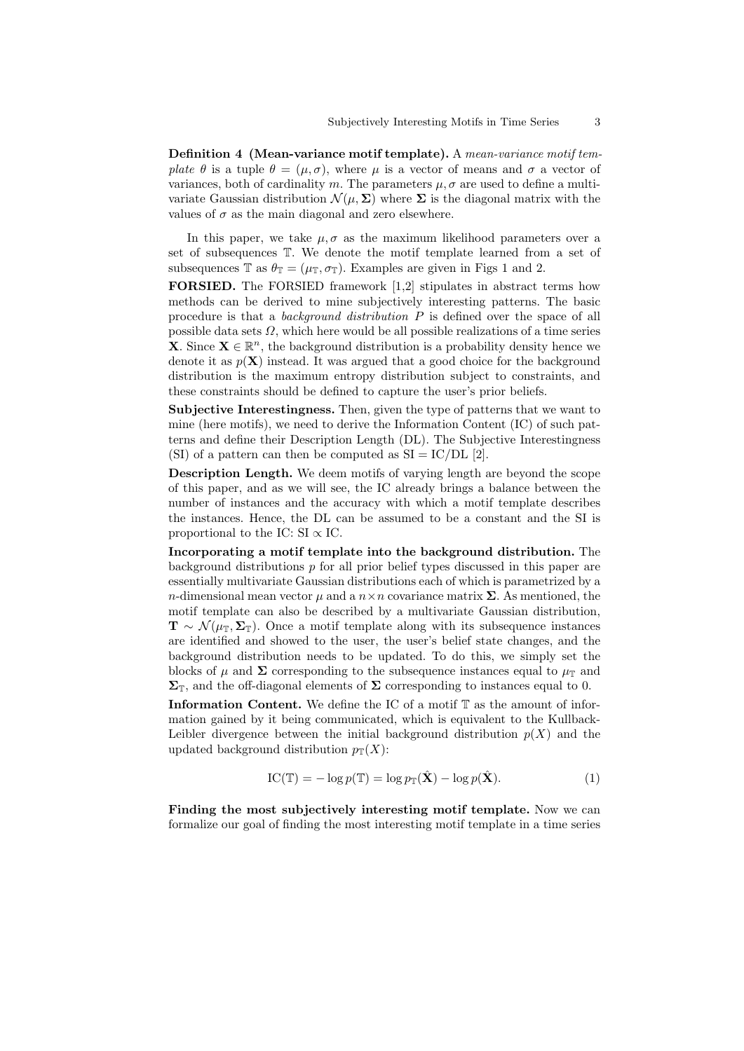Definition 4 (Mean-variance motif template). A mean-variance motif template  $\theta$  is a tuple  $\theta = (\mu, \sigma)$ , where  $\mu$  is a vector of means and  $\sigma$  a vector of variances, both of cardinality m. The parameters  $\mu$ ,  $\sigma$  are used to define a multivariate Gaussian distribution  $\mathcal{N}(\mu, \Sigma)$  where  $\Sigma$  is the diagonal matrix with the values of  $\sigma$  as the main diagonal and zero elsewhere.

In this paper, we take  $\mu, \sigma$  as the maximum likelihood parameters over a set of subsequences T. We denote the motif template learned from a set of subsequences T as  $\theta_{\mathbb{T}} = (\mu_{\mathbb{T}}, \sigma_{\mathbb{T}})$ . Examples are given in Figs 1 and 2.

FORSIED. The FORSIED framework [1,2] stipulates in abstract terms how methods can be derived to mine subjectively interesting patterns. The basic procedure is that a background distribution P is defined over the space of all possible data sets  $\Omega$ , which here would be all possible realizations of a time series **X**. Since  $X \in \mathbb{R}^n$ , the background distribution is a probability density hence we denote it as  $p(X)$  instead. It was argued that a good choice for the background distribution is the maximum entropy distribution subject to constraints, and these constraints should be defined to capture the user's prior beliefs.

Subjective Interestingness. Then, given the type of patterns that we want to mine (here motifs), we need to derive the Information Content (IC) of such patterns and define their Description Length (DL). The Subjective Interestingness (SI) of a pattern can then be computed as  $SI = IC/DL$  [2].

Description Length. We deem motifs of varying length are beyond the scope of this paper, and as we will see, the IC already brings a balance between the number of instances and the accuracy with which a motif template describes the instances. Hence, the DL can be assumed to be a constant and the SI is proportional to the IC: SI  $\propto$  IC.

Incorporating a motif template into the background distribution. The background distributions  $p$  for all prior belief types discussed in this paper are essentially multivariate Gaussian distributions each of which is parametrized by a n-dimensional mean vector  $\mu$  and a  $n \times n$  covariance matrix  $\Sigma$ . As mentioned, the motif template can also be described by a multivariate Gaussian distribution,  $\mathbf{T} \sim \mathcal{N}(\mu_{\mathbb{T}}, \Sigma_{\mathbb{T}}).$  Once a motif template along with its subsequence instances are identified and showed to the user, the user's belief state changes, and the background distribution needs to be updated. To do this, we simply set the blocks of  $\mu$  and  $\Sigma$  corresponding to the subsequence instances equal to  $\mu_{\rm T}$  and  $\Sigma_{\mathbb{T}}$ , and the off-diagonal elements of  $\Sigma$  corresponding to instances equal to 0.

Information Content. We define the IC of a motif  $\mathbb T$  as the amount of information gained by it being communicated, which is equivalent to the Kullback-Leibler divergence between the initial background distribution  $p(X)$  and the updated background distribution  $p_{\mathbb{T}}(X)$ :

$$
IC(\mathbb{T}) = -\log p(\mathbb{T}) = \log p_{\mathbb{T}}(\hat{\mathbf{X}}) - \log p(\hat{\mathbf{X}}).
$$
 (1)

Finding the most subjectively interesting motif template. Now we can formalize our goal of finding the most interesting motif template in a time series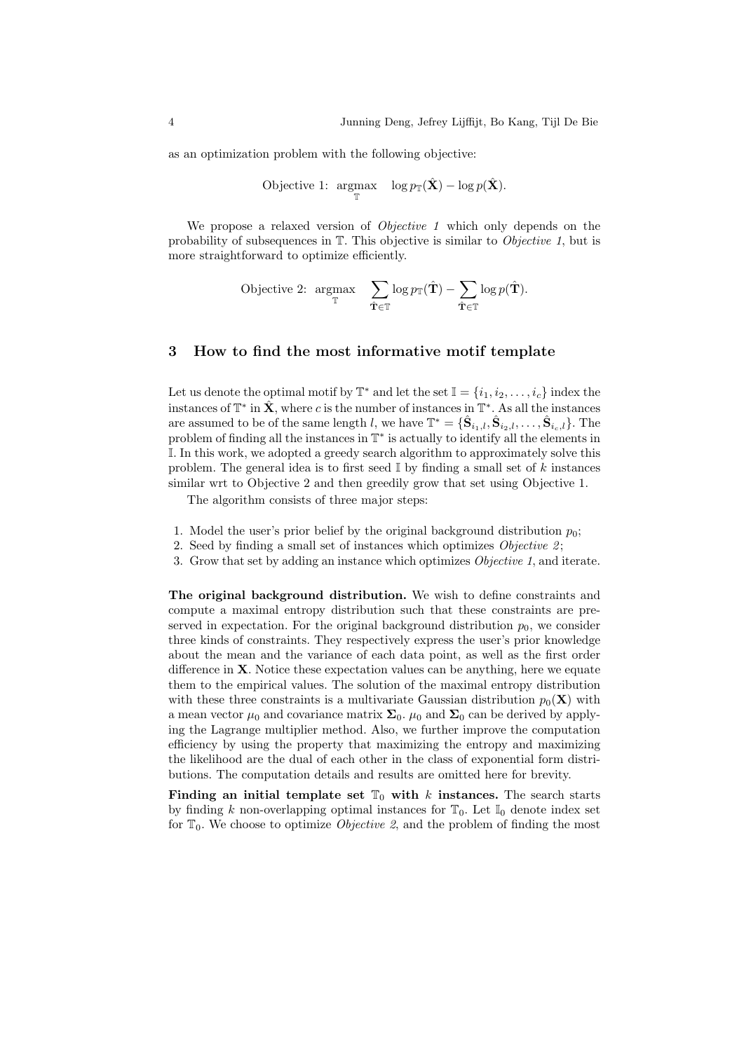as an optimization problem with the following objective:

$$
\text{Objective 1: } \underset{\mathbb{T}}{\operatorname{argmax}} \quad \log p_{\mathbb{T}}(\hat{\mathbf{X}}) - \log p(\hat{\mathbf{X}}).
$$

We propose a relaxed version of *Objective 1* which only depends on the probability of subsequences in T. This objective is similar to Objective 1, but is more straightforward to optimize efficiently.

$$
\text{Objective 2: } \underset{\mathbf{T}}{\text{argmax}} \quad \sum_{\hat{\mathbf{T}} \in \mathbb{T}} \log p_{\mathbb{T}}(\hat{\mathbf{T}}) - \sum_{\hat{\mathbf{T}} \in \mathbb{T}} \log p(\hat{\mathbf{T}}).
$$

## 3 How to find the most informative motif template

Let us denote the optimal motif by  $\mathbb{T}^*$  and let the set  $\mathbb{I} = \{i_1, i_2, \ldots, i_c\}$  index the instances of  $\mathbb{T}^*$  in  $\hat{\mathbf{X}}$ , where c is the number of instances in  $\mathbb{T}^*$ . As all the instances are assumed to be of the same length l, we have  $\mathbb{T}^* = \{ \hat{\mathbf{S}}_{i_1,l}, \hat{\mathbf{S}}_{i_2,l}, \ldots, \hat{\mathbf{S}}_{i_c,l} \}$ . The problem of finding all the instances in  $\mathbb{T}^*$  is actually to identify all the elements in I. In this work, we adopted a greedy search algorithm to approximately solve this problem. The general idea is to first seed  $\mathbb{I}$  by finding a small set of k instances similar wrt to Objective 2 and then greedily grow that set using Objective 1.

The algorithm consists of three major steps:

- 1. Model the user's prior belief by the original background distribution  $p_0$ ;
- 2. Seed by finding a small set of instances which optimizes  $Objective 2$ ;
- 3. Grow that set by adding an instance which optimizes Objective 1, and iterate.

The original background distribution. We wish to define constraints and compute a maximal entropy distribution such that these constraints are preserved in expectation. For the original background distribution  $p_0$ , we consider three kinds of constraints. They respectively express the user's prior knowledge about the mean and the variance of each data point, as well as the first order difference in X. Notice these expectation values can be anything, here we equate them to the empirical values. The solution of the maximal entropy distribution with these three constraints is a multivariate Gaussian distribution  $p_0(\mathbf{X})$  with a mean vector  $\mu_0$  and covariance matrix  $\Sigma_0$ .  $\mu_0$  and  $\Sigma_0$  can be derived by applying the Lagrange multiplier method. Also, we further improve the computation efficiency by using the property that maximizing the entropy and maximizing the likelihood are the dual of each other in the class of exponential form distributions. The computation details and results are omitted here for brevity.

Finding an initial template set  $\mathbb{T}_0$  with k instances. The search starts by finding k non-overlapping optimal instances for  $\mathbb{T}_0$ . Let  $\mathbb{I}_0$  denote index set for  $\mathbb{T}_0$ . We choose to optimize *Objective 2*, and the problem of finding the most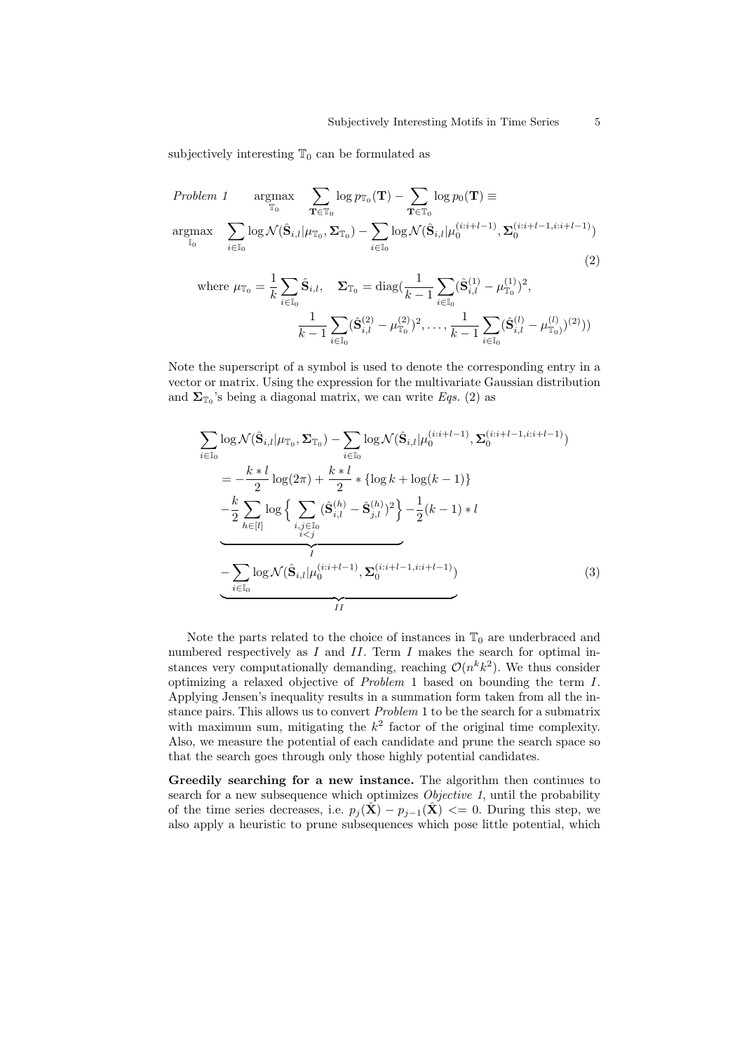subjectively interesting  $\mathbb{T}_0$  can be formulated as

 $\bar{W}$ 

Problem 1 
$$
\underset{\mathbb{T}_0}{\operatorname{argmax}}
$$
  $\sum_{\mathbf{T} \in \mathbb{T}_0} \log p_{\mathbb{T}_0}(\mathbf{T}) - \sum_{\mathbf{T} \in \mathbb{T}_0} \log p_0(\mathbf{T}) \equiv$   
argmax  $\sum_{i \in \mathbb{I}_0} \log \mathcal{N}(\hat{\mathbf{S}}_{i,l} | \mu_{\mathbb{T}_0}, \Sigma_{\mathbb{T}_0}) - \sum_{i \in \mathbb{I}_0} \log \mathcal{N}(\hat{\mathbf{S}}_{i,l} | \mu_0^{(i:i+l-1)}, \Sigma_0^{(i:i+l-1,i:i+l-1)})$   
(2)

here 
$$
\mu_{\mathbb{T}_0} = \frac{1}{k} \sum_{i \in \mathbb{I}_0} \hat{\mathbf{S}}_{i,l}, \quad \Sigma_{\mathbb{T}_0} = \text{diag}\left(\frac{1}{k-1} \sum_{i \in \mathbb{I}_0} (\hat{\mathbf{S}}_{i,l}^{(1)} - \mu_{\mathbb{T}_0}^{(1)})^2, \right.
$$
  

$$
\frac{1}{k-1} \sum_{i \in \mathbb{I}_0} (\hat{\mathbf{S}}_{i,l}^{(2)} - \mu_{\mathbb{T}_0}^{(2)})^2, \dots, \frac{1}{k-1} \sum_{i \in \mathbb{I}_0} (\hat{\mathbf{S}}_{i,l}^{(l)} - \mu_{\mathbb{T}_0}^{(l)})^{(2)}))
$$

Note the superscript of a symbol is used to denote the corresponding entry in a vector or matrix. Using the expression for the multivariate Gaussian distribution and  $\Sigma_{\mathbb{T}_0}$ 's being a diagonal matrix, we can write Eqs. (2) as

$$
\sum_{i \in \mathbb{I}_0} \log \mathcal{N}(\hat{\mathbf{S}}_{i,l} | \mu_{\mathbb{T}_0}, \Sigma_{\mathbb{T}_0}) - \sum_{i \in \mathbb{I}_0} \log \mathcal{N}(\hat{\mathbf{S}}_{i,l} | \mu_0^{(i:i+l-1)}, \Sigma_0^{(i:i+l-1,i:i+l-1)})
$$
\n
$$
= -\frac{k \ast l}{2} \log(2\pi) + \frac{k \ast l}{2} \ast \{ \log k + \log(k-1) \}
$$
\n
$$
-\frac{k}{2} \sum_{h \in [l]} \log \left\{ \sum_{\substack{i,j \in \mathbb{I}_0 \\ i < j}} (\hat{\mathbf{S}}_{i,l}^{(h)} - \hat{\mathbf{S}}_{j,l}^{(h)})^2 \right\} - \frac{1}{2} (k-1) \ast l
$$
\n
$$
-\sum_{i \in \mathbb{I}_0} \log \mathcal{N}(\hat{\mathbf{S}}_{i,l} | \mu_0^{(i:i+l-1)}, \Sigma_0^{(i:i+l-1,i:i+l-1)})
$$
\n
$$
I I
$$
\n(3)

Note the parts related to the choice of instances in  $\mathbb{T}_0$  are underbraced and numbered respectively as  $I$  and  $II$ . Term  $I$  makes the search for optimal instances very computationally demanding, reaching  $\mathcal{O}(n^k k^2)$ . We thus consider optimizing a relaxed objective of Problem 1 based on bounding the term I. Applying Jensen's inequality results in a summation form taken from all the instance pairs. This allows us to convert Problem 1 to be the search for a submatrix with maximum sum, mitigating the  $k^2$  factor of the original time complexity. Also, we measure the potential of each candidate and prune the search space so that the search goes through only those highly potential candidates.

Greedily searching for a new instance. The algorithm then continues to search for a new subsequence which optimizes *Objective 1*, until the probability of the time series decreases, i.e.  $p_j(\mathbf{X}) - p_{j-1}(\mathbf{X}) \leq 0$ . During this step, we also apply a heuristic to prune subsequences which pose little potential, which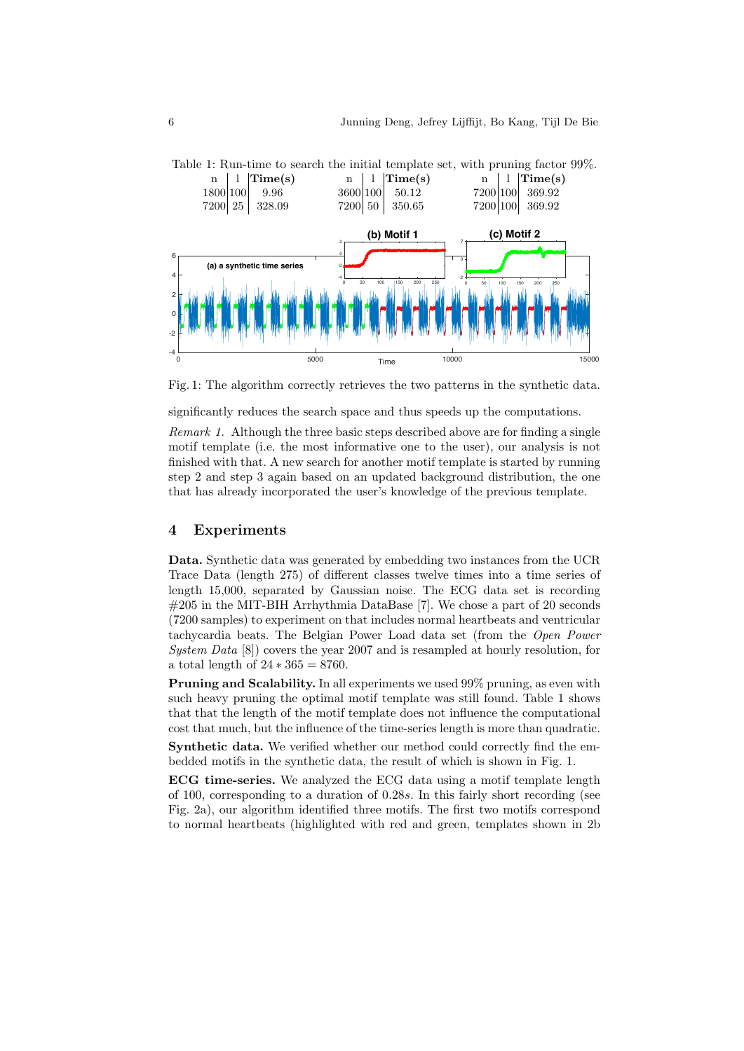

Table 1: Run-time to search the initial template set, with pruning factor 99%.

Fig. 1: The algorithm correctly retrieves the two patterns in the synthetic data.

significantly reduces the search space and thus speeds up the computations.

Remark 1. Although the three basic steps described above are for finding a single motif template (i.e. the most informative one to the user), our analysis is not finished with that. A new search for another motif template is started by running step 2 and step 3 again based on an updated background distribution, the one that has already incorporated the user's knowledge of the previous template.

#### 4 Experiments

Data. Synthetic data was generated by embedding two instances from the UCR Trace Data (length 275) of different classes twelve times into a time series of length 15,000, separated by Gaussian noise. The ECG data set is recording #205 in the MIT-BIH Arrhythmia DataBase [7]. We chose a part of 20 seconds (7200 samples) to experiment on that includes normal heartbeats and ventricular tachycardia beats. The Belgian Power Load data set (from the Open Power System Data [8]) covers the year 2007 and is resampled at hourly resolution, for a total length of  $24 * 365 = 8760$ .

Pruning and Scalability. In all experiments we used 99% pruning, as even with such heavy pruning the optimal motif template was still found. Table 1 shows that that the length of the motif template does not influence the computational cost that much, but the influence of the time-series length is more than quadratic.

Synthetic data. We verified whether our method could correctly find the embedded motifs in the synthetic data, the result of which is shown in Fig. 1.

ECG time-series. We analyzed the ECG data using a motif template length of 100, corresponding to a duration of 0.28s. In this fairly short recording (see Fig. 2a), our algorithm identified three motifs. The first two motifs correspond to normal heartbeats (highlighted with red and green, templates shown in 2b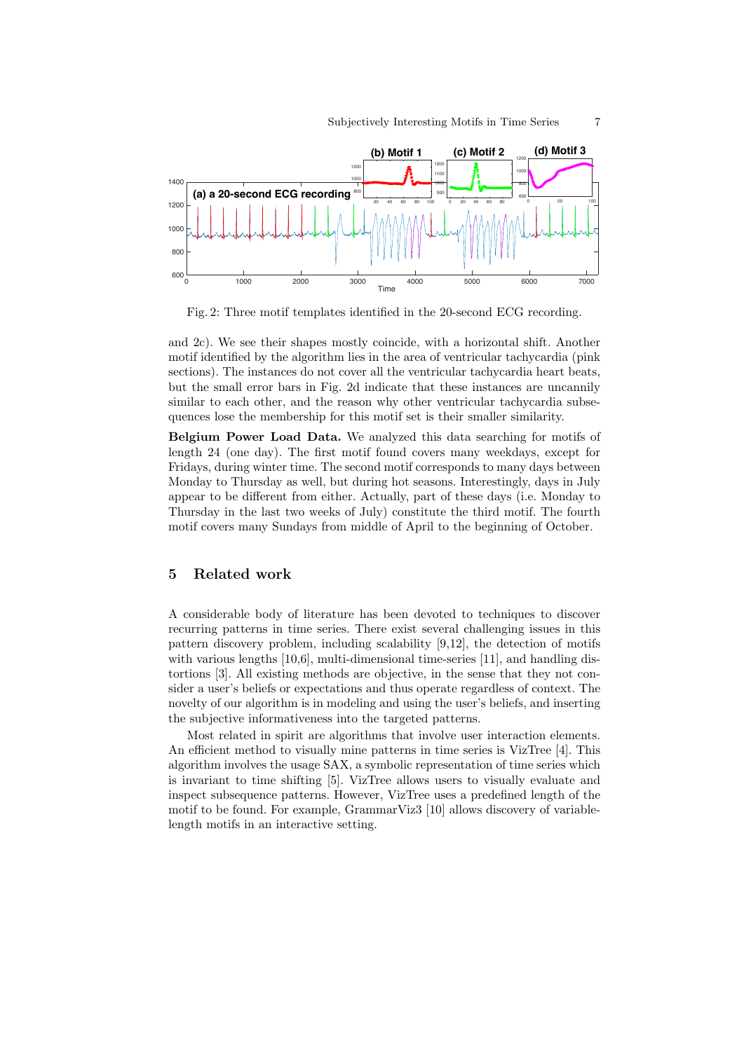

Fig. 2: Three motif templates identified in the 20-second ECG recording.

and 2c). We see their shapes mostly coincide, with a horizontal shift. Another motif identified by the algorithm lies in the area of ventricular tachycardia (pink sections). The instances do not cover all the ventricular tachycardia heart beats, but the small error bars in Fig. 2d indicate that these instances are uncannily similar to each other, and the reason why other ventricular tachycardia subsequences lose the membership for this motif set is their smaller similarity.

Belgium Power Load Data. We analyzed this data searching for motifs of length 24 (one day). The first motif found covers many weekdays, except for Fridays, during winter time. The second motif corresponds to many days between Monday to Thursday as well, but during hot seasons. Interestingly, days in July appear to be different from either. Actually, part of these days (i.e. Monday to Thursday in the last two weeks of July) constitute the third motif. The fourth motif covers many Sundays from middle of April to the beginning of October.

# 5 Related work

A considerable body of literature has been devoted to techniques to discover recurring patterns in time series. There exist several challenging issues in this pattern discovery problem, including scalability [9,12], the detection of motifs with various lengths [10,6], multi-dimensional time-series [11], and handling distortions [3]. All existing methods are objective, in the sense that they not consider a user's beliefs or expectations and thus operate regardless of context. The novelty of our algorithm is in modeling and using the user's beliefs, and inserting the subjective informativeness into the targeted patterns.

Most related in spirit are algorithms that involve user interaction elements. An efficient method to visually mine patterns in time series is VizTree [4]. This algorithm involves the usage SAX, a symbolic representation of time series which is invariant to time shifting [5]. VizTree allows users to visually evaluate and inspect subsequence patterns. However, VizTree uses a predefined length of the motif to be found. For example, GrammarViz3 [10] allows discovery of variablelength motifs in an interactive setting.